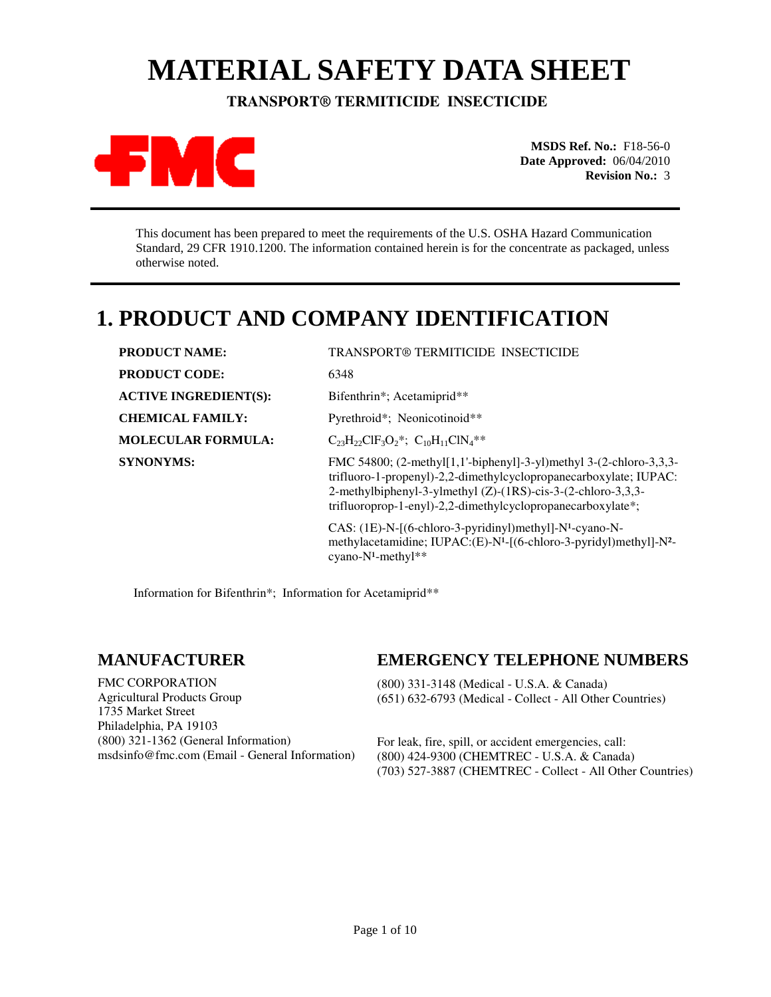# **MATERIAL SAFETY DATA SHEET**

 **TRANSPORT® TERMITICIDE INSECTICIDE** 



**MSDS Ref. No.:** F18-56-0 **Date Approved:** 06/04/2010 **Revision No.:** 3

This document has been prepared to meet the requirements of the U.S. OSHA Hazard Communication Standard, 29 CFR 1910.1200. The information contained herein is for the concentrate as packaged, unless otherwise noted.

## **1. PRODUCT AND COMPANY IDENTIFICATION**

| <b>PRODUCT NAME:</b>         | <b>TRANSPORT® TERMITICIDE INSECTICIDE</b>                                                                                                                                                                                                                                     |  |
|------------------------------|-------------------------------------------------------------------------------------------------------------------------------------------------------------------------------------------------------------------------------------------------------------------------------|--|
| <b>PRODUCT CODE:</b>         | 6348                                                                                                                                                                                                                                                                          |  |
| <b>ACTIVE INGREDIENT(S):</b> | Bifenthrin*; Acetamiprid**                                                                                                                                                                                                                                                    |  |
| <b>CHEMICAL FAMILY:</b>      | Pyrethroid*; Neonicotinoid**                                                                                                                                                                                                                                                  |  |
| <b>MOLECULAR FORMULA:</b>    | $C_{23}H_{22}CH_3O_2$ *; $C_{10}H_{11}CIN_4$ **                                                                                                                                                                                                                               |  |
| <b>SYNONYMS:</b>             | FMC 54800; $(2$ -methyl[1,1'-biphenyl]-3-yl)methyl 3- $(2$ -chloro-3,3,3-<br>trifluoro-1-propenyl)-2,2-dimethylcyclopropanecarboxylate; IUPAC:<br>2-methylbiphenyl-3-ylmethyl (Z)-(1RS)-cis-3-(2-chloro-3,3,3-<br>trifluoroprop-1-enyl)-2,2-dimethylcyclopropanecarboxylate*; |  |
|                              | CAS: (1E)-N-[(6-chloro-3-pyridinyl)methyl]-N <sup>1</sup> -cyano-N-<br>methylacetamidine; IUPAC:(E)-N <sup>1</sup> -[(6-chloro-3-pyridyl)methyl]-N <sup>2</sup> -<br>cyano- $N^1$ -methyl**                                                                                   |  |

Information for Bifenthrin\*; Information for Acetamiprid\*\*

### **MANUFACTURER**

FMC CORPORATION Agricultural Products Group 1735 Market Street Philadelphia, PA 19103 (800) 321-1362 (General Information) msdsinfo@fmc.com (Email - General Information)

### **EMERGENCY TELEPHONE NUMBERS**

(800) 331-3148 (Medical - U.S.A. & Canada) (651) 632-6793 (Medical - Collect - All Other Countries)

For leak, fire, spill, or accident emergencies, call: (800) 424-9300 (CHEMTREC - U.S.A. & Canada) (703) 527-3887 (CHEMTREC - Collect - All Other Countries)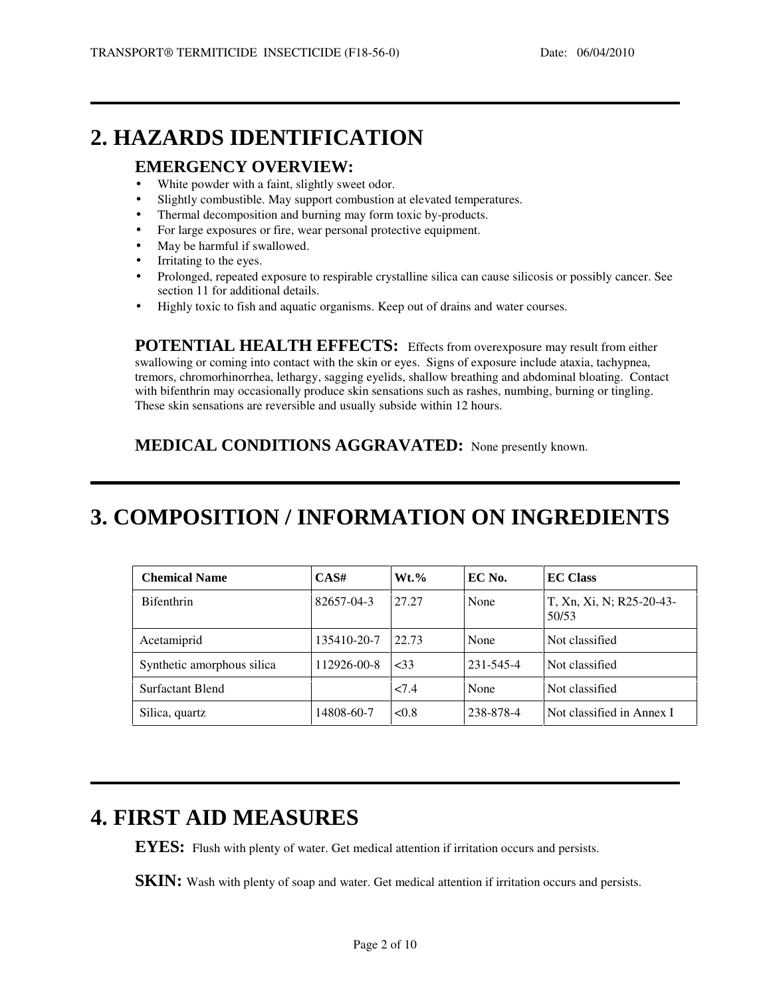### **2. HAZARDS IDENTIFICATION**

#### **EMERGENCY OVERVIEW:**

- White powder with a faint, slightly sweet odor.
- Slightly combustible. May support combustion at elevated temperatures.
- Thermal decomposition and burning may form toxic by-products.
- For large exposures or fire, wear personal protective equipment.
- May be harmful if swallowed.
- Irritating to the eyes.
- Prolonged, repeated exposure to respirable crystalline silica can cause silicosis or possibly cancer. See section 11 for additional details.
- Highly toxic to fish and aquatic organisms. Keep out of drains and water courses.

**POTENTIAL HEALTH EFFECTS:** Effects from overexposure may result from either swallowing or coming into contact with the skin or eyes. Signs of exposure include ataxia, tachypnea, tremors, chromorhinorrhea, lethargy, sagging eyelids, shallow breathing and abdominal bloating. Contact with bifenthrin may occasionally produce skin sensations such as rashes, numbing, burning or tingling. These skin sensations are reversible and usually subside within 12 hours.

**MEDICAL CONDITIONS AGGRAVATED:** None presently known.

## **3. COMPOSITION / INFORMATION ON INGREDIENTS**

| <b>Chemical Name</b>       | CAS#        | $Wt.\%$ | EC No.    | <b>EC Class</b>                   |
|----------------------------|-------------|---------|-----------|-----------------------------------|
| <b>Bifenthrin</b>          | 82657-04-3  | 27.27   | None      | T, Xn, Xi, N; R25-20-43-<br>50/53 |
| Acetamiprid                | 135410-20-7 | 22.73   | None      | Not classified                    |
| Synthetic amorphous silica | 112926-00-8 | ~533    | 231-545-4 | Not classified                    |
| Surfactant Blend           |             | 27.4    | None      | Not classified                    |
| Silica, quartz             | 14808-60-7  | < 0.8   | 238-878-4 | Not classified in Annex I         |

## **4. FIRST AID MEASURES**

**EYES:** Flush with plenty of water. Get medical attention if irritation occurs and persists.

**SKIN:** Wash with plenty of soap and water. Get medical attention if irritation occurs and persists.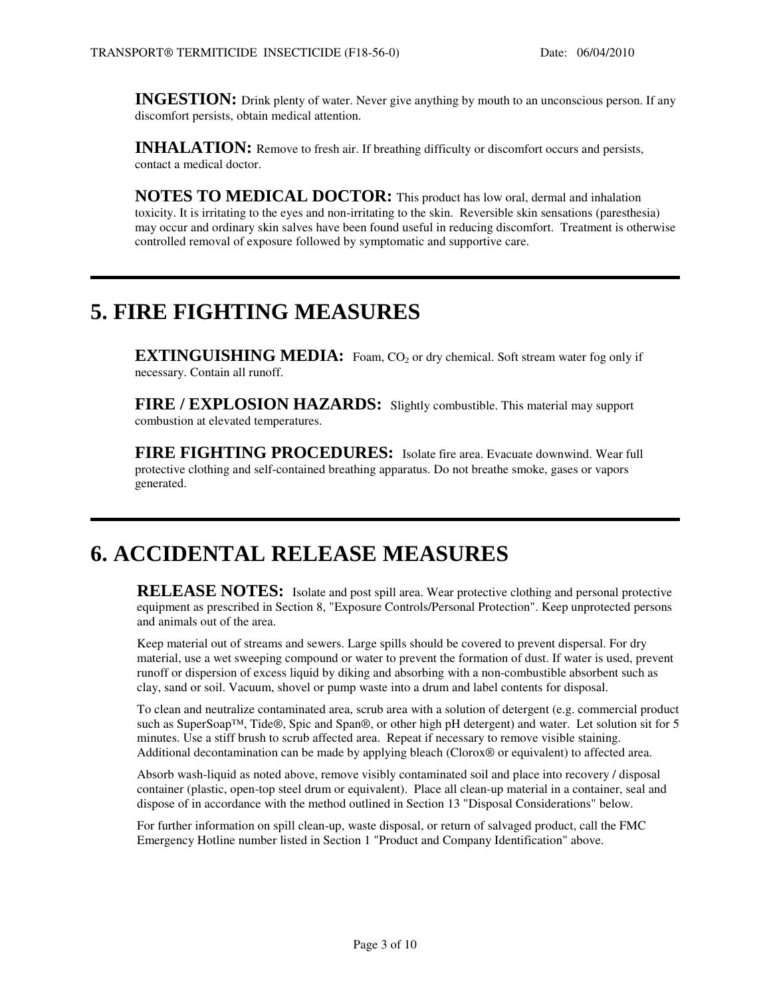**INGESTION:** Drink plenty of water. Never give anything by mouth to an unconscious person. If any discomfort persists, obtain medical attention.

**INHALATION:** Remove to fresh air. If breathing difficulty or discomfort occurs and persists, contact a medical doctor.

**NOTES TO MEDICAL DOCTOR:** This product has low oral, dermal and inhalation toxicity. It is irritating to the eyes and non-irritating to the skin. Reversible skin sensations (paresthesia) may occur and ordinary skin salves have been found useful in reducing discomfort. Treatment is otherwise controlled removal of exposure followed by symptomatic and supportive care.

## **5. FIRE FIGHTING MEASURES**

**EXTINGUISHING MEDIA:** Foam, CO<sub>2</sub> or dry chemical. Soft stream water fog only if necessary. Contain all runoff.

**FIRE / EXPLOSION HAZARDS:** Slightly combustible. This material may support combustion at elevated temperatures.

**FIRE FIGHTING PROCEDURES:** Isolate fire area. Evacuate downwind. Wear full protective clothing and self-contained breathing apparatus. Do not breathe smoke, gases or vapors generated.

## **6. ACCIDENTAL RELEASE MEASURES**

**RELEASE NOTES:** Isolate and post spill area. Wear protective clothing and personal protective equipment as prescribed in Section 8, "Exposure Controls/Personal Protection". Keep unprotected persons and animals out of the area.

Keep material out of streams and sewers. Large spills should be covered to prevent dispersal. For dry material, use a wet sweeping compound or water to prevent the formation of dust. If water is used, prevent runoff or dispersion of excess liquid by diking and absorbing with a non-combustible absorbent such as clay, sand or soil. Vacuum, shovel or pump waste into a drum and label contents for disposal.

To clean and neutralize contaminated area, scrub area with a solution of detergent (e.g. commercial product such as SuperSoap™, Tide®, Spic and Span®, or other high pH detergent) and water. Let solution sit for 5 minutes. Use a stiff brush to scrub affected area. Repeat if necessary to remove visible staining. Additional decontamination can be made by applying bleach (Clorox® or equivalent) to affected area.

Absorb wash-liquid as noted above, remove visibly contaminated soil and place into recovery / disposal container (plastic, open-top steel drum or equivalent). Place all clean-up material in a container, seal and dispose of in accordance with the method outlined in Section 13 "Disposal Considerations" below.

For further information on spill clean-up, waste disposal, or return of salvaged product, call the FMC Emergency Hotline number listed in Section 1 "Product and Company Identification" above.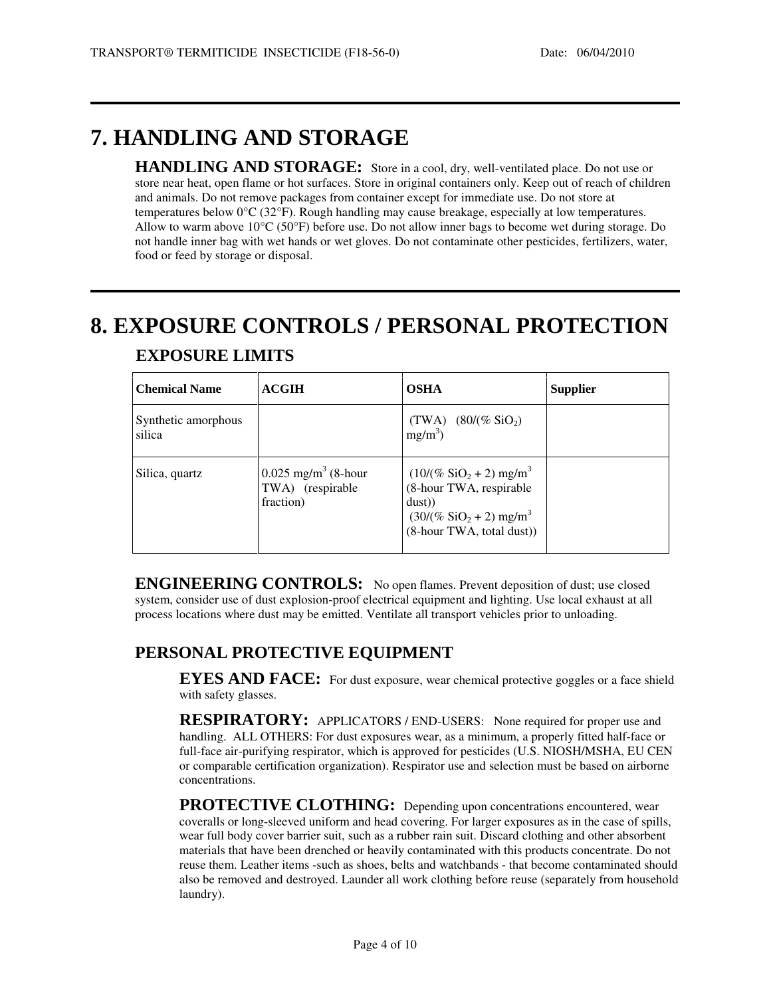## **7. HANDLING AND STORAGE**

**HANDLING AND STORAGE:** Store in a cool, dry, well-ventilated place. Do not use or store near heat, open flame or hot surfaces. Store in original containers only. Keep out of reach of children and animals. Do not remove packages from container except for immediate use. Do not store at temperatures below 0°C (32°F). Rough handling may cause breakage, especially at low temperatures. Allow to warm above 10°C (50°F) before use. Do not allow inner bags to become wet during storage. Do not handle inner bag with wet hands or wet gloves. Do not contaminate other pesticides, fertilizers, water, food or feed by storage or disposal.

## **8. EXPOSURE CONTROLS / PERSONAL PROTECTION**

| <b>Chemical Name</b>          | <b>ACGIH</b>                                                       | <b>OSHA</b>                                                                                                                                                        | <b>Supplier</b> |
|-------------------------------|--------------------------------------------------------------------|--------------------------------------------------------------------------------------------------------------------------------------------------------------------|-----------------|
| Synthetic amorphous<br>silica |                                                                    | (TWA) $(80/(\% \text{SiO}_2))$<br>$mg/m^3$ )                                                                                                                       |                 |
| Silica, quartz                | $0.025$ mg/m <sup>3</sup> (8-hour<br>TWA) (respirable<br>fraction) | $(10/(\%$ SiO <sub>2</sub> + 2) mg/m <sup>3</sup><br>(8-hour TWA, respirable<br>dust))<br>$(30/(\% \text{SiO}_2 + 2) \text{ mg/m}^3)$<br>(8-hour TWA, total dust)) |                 |

#### **EXPOSURE LIMITS**

**ENGINEERING CONTROLS:** No open flames. Prevent deposition of dust; use closed system, consider use of dust explosion-proof electrical equipment and lighting. Use local exhaust at all process locations where dust may be emitted. Ventilate all transport vehicles prior to unloading.

### **PERSONAL PROTECTIVE EQUIPMENT**

**EYES AND FACE:** For dust exposure, wear chemical protective goggles or a face shield with safety glasses.

**RESPIRATORY:** APPLICATORS / END-USERS: None required for proper use and handling. ALL OTHERS: For dust exposures wear, as a minimum, a properly fitted half-face or full-face air-purifying respirator, which is approved for pesticides (U.S. NIOSH/MSHA, EU CEN or comparable certification organization). Respirator use and selection must be based on airborne concentrations.

**PROTECTIVE CLOTHING:** Depending upon concentrations encountered, wear coveralls or long-sleeved uniform and head covering. For larger exposures as in the case of spills, wear full body cover barrier suit, such as a rubber rain suit. Discard clothing and other absorbent materials that have been drenched or heavily contaminated with this products concentrate. Do not reuse them. Leather items -such as shoes, belts and watchbands - that become contaminated should also be removed and destroyed. Launder all work clothing before reuse (separately from household laundry).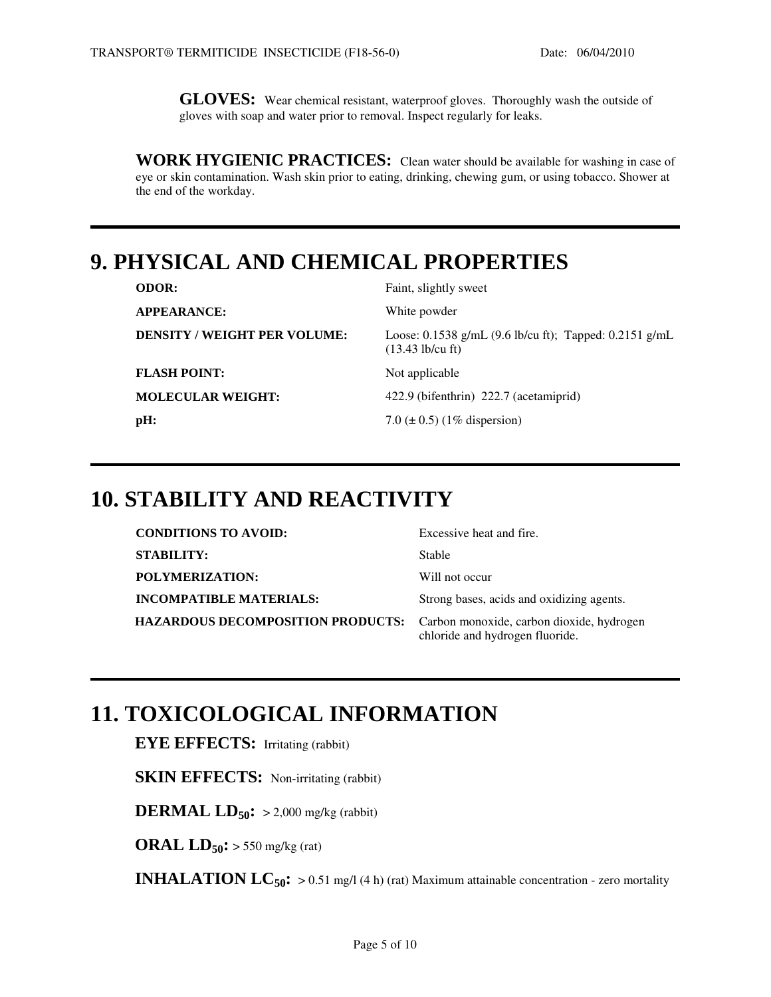**GLOVES:** Wear chemical resistant, waterproof gloves. Thoroughly wash the outside of gloves with soap and water prior to removal. Inspect regularly for leaks.

**WORK HYGIENIC PRACTICES:** Clean water should be available for washing in case of eye or skin contamination. Wash skin prior to eating, drinking, chewing gum, or using tobacco. Shower at the end of the workday.

## **9. PHYSICAL AND CHEMICAL PROPERTIES**

| <b>ODOR:</b>                        | Faint, slightly sweet                                                                           |
|-------------------------------------|-------------------------------------------------------------------------------------------------|
| <b>APPEARANCE:</b>                  | White powder                                                                                    |
| <b>DENSITY / WEIGHT PER VOLUME:</b> | Loose: 0.1538 g/mL $(9.6 \text{ lb/cu ft})$ ; Tapped: 0.2151 g/mL<br>$(13.43 \text{ lb/cu ft})$ |
| <b>FLASH POINT:</b>                 | Not applicable                                                                                  |
| <b>MOLECULAR WEIGHT:</b>            | 422.9 (bifenthrin) 222.7 (acetamiprid)                                                          |
| pH:                                 | 7.0 ( $\pm$ 0.5) (1% dispersion)                                                                |
|                                     |                                                                                                 |

## **10. STABILITY AND REACTIVITY**

| <b>CONDITIONS TO AVOID:</b>                                                 | Excessive heat and fire.                  |
|-----------------------------------------------------------------------------|-------------------------------------------|
| <b>STABILITY:</b>                                                           | Stable                                    |
| POLYMERIZATION:                                                             | Will not occur                            |
| <b>INCOMPATIBLE MATERIALS:</b>                                              | Strong bases, acids and oxidizing agents. |
| HAZARDOUS DECOMPOSITION PRODUCTS: Carbon monoxide, carbon dioxide, hydrogen | chloride and hydrogen fluoride.           |

### **11. TOXICOLOGICAL INFORMATION**

**EYE EFFECTS:** Irritating (rabbit)

**SKIN EFFECTS:** Non-irritating (rabbit)

**DERMAL LD**<sub>50</sub> $\mathbf{r}$  > 2,000 mg/kg (rabbit)

**ORAL LD**<sub>50</sub> $:$  > 550 mg/kg (rat)

**INHALATION LC**<sub>50</sub>: > 0.51 mg/l (4 h) (rat) Maximum attainable concentration - zero mortality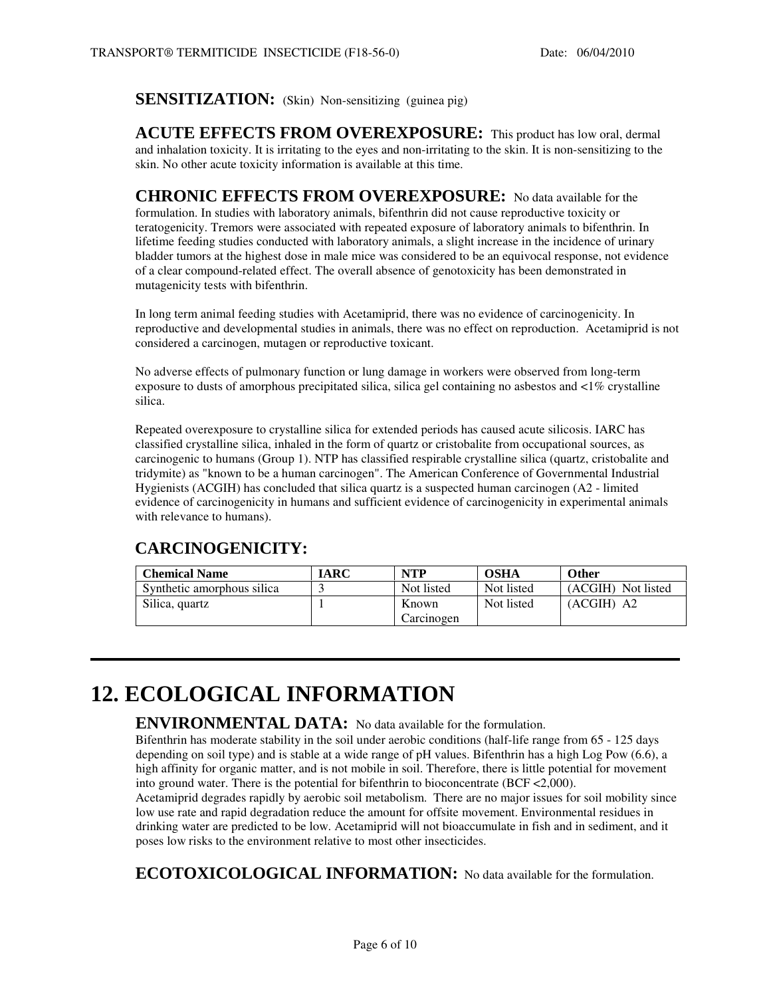#### **SENSITIZATION:** (Skin) Non-sensitizing (guinea pig)

**ACUTE EFFECTS FROM OVEREXPOSURE:** This product has low oral, dermal and inhalation toxicity. It is irritating to the eyes and non-irritating to the skin. It is non-sensitizing to the skin. No other acute toxicity information is available at this time.

**CHRONIC EFFECTS FROM OVEREXPOSURE:** No data available for the formulation. In studies with laboratory animals, bifenthrin did not cause reproductive toxicity or teratogenicity. Tremors were associated with repeated exposure of laboratory animals to bifenthrin. In lifetime feeding studies conducted with laboratory animals, a slight increase in the incidence of urinary bladder tumors at the highest dose in male mice was considered to be an equivocal response, not evidence of a clear compound-related effect. The overall absence of genotoxicity has been demonstrated in mutagenicity tests with bifenthrin.

In long term animal feeding studies with Acetamiprid, there was no evidence of carcinogenicity. In reproductive and developmental studies in animals, there was no effect on reproduction. Acetamiprid is not considered a carcinogen, mutagen or reproductive toxicant.

No adverse effects of pulmonary function or lung damage in workers were observed from long-term exposure to dusts of amorphous precipitated silica, silica gel containing no asbestos and <1% crystalline silica.

Repeated overexposure to crystalline silica for extended periods has caused acute silicosis. IARC has classified crystalline silica, inhaled in the form of quartz or cristobalite from occupational sources, as carcinogenic to humans (Group 1). NTP has classified respirable crystalline silica (quartz, cristobalite and tridymite) as "known to be a human carcinogen". The American Conference of Governmental Industrial Hygienists (ACGIH) has concluded that silica quartz is a suspected human carcinogen (A2 - limited evidence of carcinogenicity in humans and sufficient evidence of carcinogenicity in experimental animals with relevance to humans).

### **CARCINOGENICITY:**

| <b>Chemical Name</b>       | IARC | <b>NTP</b> | <b>OSHA</b> | <b>Other</b>       |
|----------------------------|------|------------|-------------|--------------------|
| Synthetic amorphous silica |      | Not listed | Not listed  | (ACGIH) Not listed |
| Silica, quartz             |      | Known      | Not listed  | $(ACGIH)$ A2       |
|                            |      | Carcinogen |             |                    |

## **12. ECOLOGICAL INFORMATION**

#### **ENVIRONMENTAL DATA:** No data available for the formulation.

Bifenthrin has moderate stability in the soil under aerobic conditions (half-life range from 65 - 125 days depending on soil type) and is stable at a wide range of pH values. Bifenthrin has a high Log Pow (6.6), a high affinity for organic matter, and is not mobile in soil. Therefore, there is little potential for movement into ground water. There is the potential for bifenthrin to bioconcentrate (BCF <2,000). Acetamiprid degrades rapidly by aerobic soil metabolism. There are no major issues for soil mobility since low use rate and rapid degradation reduce the amount for offsite movement. Environmental residues in drinking water are predicted to be low. Acetamiprid will not bioaccumulate in fish and in sediment, and it poses low risks to the environment relative to most other insecticides.

**ECOTOXICOLOGICAL INFORMATION:** No data available for the formulation.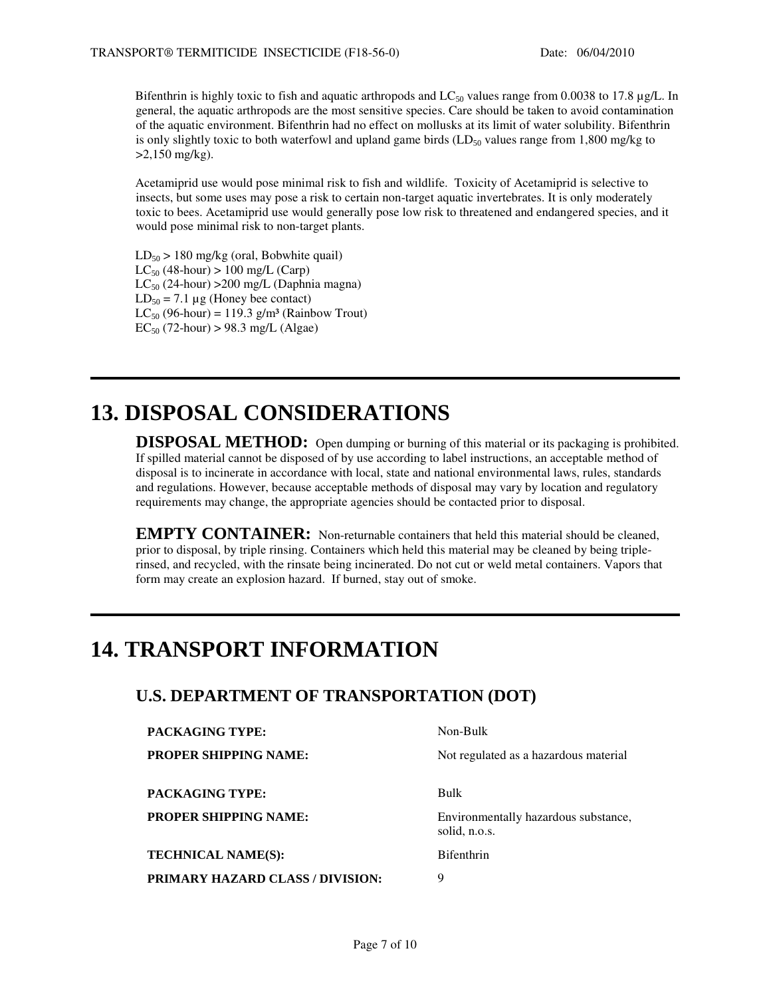Bifenthrin is highly toxic to fish and aquatic arthropods and  $LC_{50}$  values range from 0.0038 to 17.8 µg/L. In general, the aquatic arthropods are the most sensitive species. Care should be taken to avoid contamination of the aquatic environment. Bifenthrin had no effect on mollusks at its limit of water solubility. Bifenthrin is only slightly toxic to both waterfowl and upland game birds  $(LD_{50}$  values range from 1,800 mg/kg to  $>2,150$  mg/kg).

Acetamiprid use would pose minimal risk to fish and wildlife. Toxicity of Acetamiprid is selective to insects, but some uses may pose a risk to certain non-target aquatic invertebrates. It is only moderately toxic to bees. Acetamiprid use would generally pose low risk to threatened and endangered species, and it would pose minimal risk to non-target plants.

 $LD_{50}$  > 180 mg/kg (oral, Bobwhite quail)  $LC_{50}$  (48-hour) > 100 mg/L (Carp)  $LC_{50}$  (24-hour) > 200 mg/L (Daphnia magna)  $LD_{50} = 7.1 \mu$ g (Honey bee contact)  $LC_{50}$  (96-hour) = 119.3 g/m<sup>3</sup> (Rainbow Trout)  $EC_{50}$  (72-hour) > 98.3 mg/L (Algae)

## **13. DISPOSAL CONSIDERATIONS**

**DISPOSAL METHOD:** Open dumping or burning of this material or its packaging is prohibited. If spilled material cannot be disposed of by use according to label instructions, an acceptable method of disposal is to incinerate in accordance with local, state and national environmental laws, rules, standards and regulations. However, because acceptable methods of disposal may vary by location and regulatory requirements may change, the appropriate agencies should be contacted prior to disposal.

**EMPTY CONTAINER:** Non-returnable containers that held this material should be cleaned, prior to disposal, by triple rinsing. Containers which held this material may be cleaned by being triplerinsed, and recycled, with the rinsate being incinerated. Do not cut or weld metal containers. Vapors that form may create an explosion hazard. If burned, stay out of smoke.

## **14. TRANSPORT INFORMATION**

### **U.S. DEPARTMENT OF TRANSPORTATION (DOT)**

| PACKAGING TYPE:                  | Non-Bulk                                              |
|----------------------------------|-------------------------------------------------------|
| PROPER SHIPPING NAME:            | Not regulated as a hazardous material                 |
| PACKAGING TYPE:                  | Bulk                                                  |
| PROPER SHIPPING NAME:            | Environmentally hazardous substance,<br>solid, n.o.s. |
| <b>TECHNICAL NAME(S):</b>        | <b>Bifenthrin</b>                                     |
| PRIMARY HAZARD CLASS / DIVISION: | 9                                                     |
|                                  |                                                       |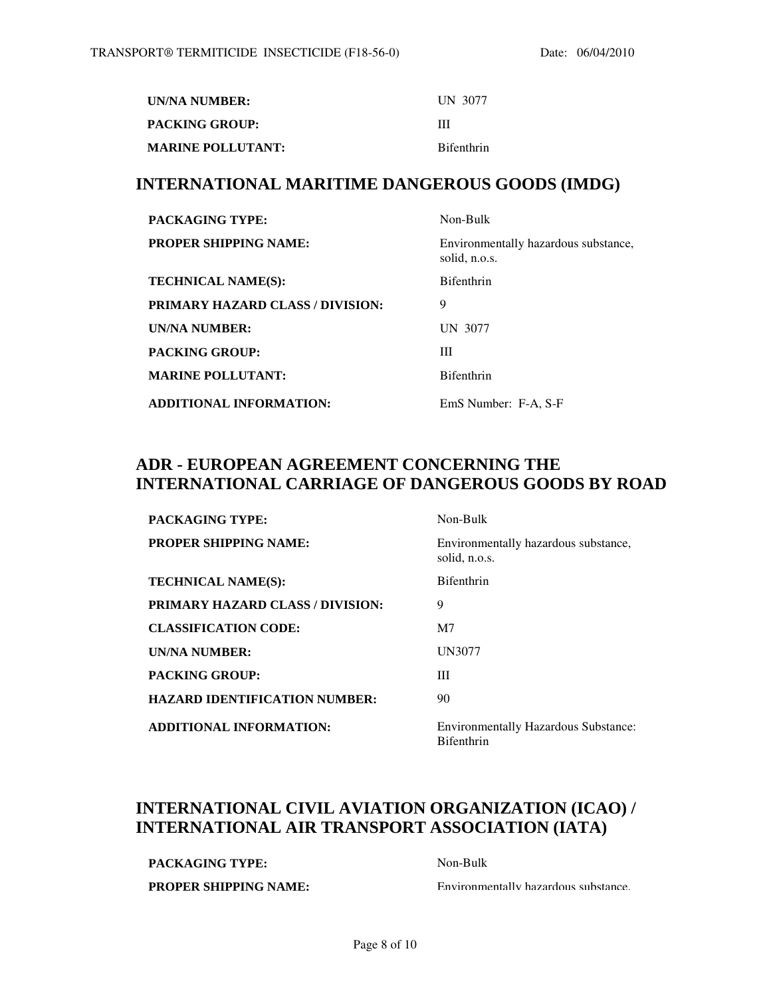| UN/NA NUMBER:            | UN 3077           |
|--------------------------|-------------------|
| PACKING GROUP:           | ш                 |
| <b>MARINE POLLUTANT:</b> | <b>Bifenthrin</b> |

#### **INTERNATIONAL MARITIME DANGEROUS GOODS (IMDG)**

| <b>PACKAGING TYPE:</b>                  | Non-Bulk                                              |
|-----------------------------------------|-------------------------------------------------------|
| <b>PROPER SHIPPING NAME:</b>            | Environmentally hazardous substance,<br>solid, n.o.s. |
| <b>TECHNICAL NAME(S):</b>               | <b>Bifenthrin</b>                                     |
| <b>PRIMARY HAZARD CLASS / DIVISION:</b> | 9                                                     |
| UN/NA NUMBER:                           | UN 3077                                               |
| <b>PACKING GROUP:</b>                   | Ш                                                     |
| <b>MARINE POLLUTANT:</b>                | <b>Bifenthrin</b>                                     |
| <b>ADDITIONAL INFORMATION:</b>          | EmS Number: F-A, S-F                                  |

### **ADR - EUROPEAN AGREEMENT CONCERNING THE INTERNATIONAL CARRIAGE OF DANGEROUS GOODS BY ROAD**

| <b>PACKAGING TYPE:</b>                  | Non-Bulk                                                         |
|-----------------------------------------|------------------------------------------------------------------|
| <b>PROPER SHIPPING NAME:</b>            | Environmentally hazardous substance,<br>solid, n.o.s.            |
| <b>TECHNICAL NAME(S):</b>               | <b>Bifenthrin</b>                                                |
| <b>PRIMARY HAZARD CLASS / DIVISION:</b> | 9                                                                |
| <b>CLASSIFICATION CODE:</b>             | M <sub>7</sub>                                                   |
| <b>UN/NA NUMBER:</b>                    | <b>UN3077</b>                                                    |
| <b>PACKING GROUP:</b>                   | Ш                                                                |
| <b>HAZARD IDENTIFICATION NUMBER:</b>    | 90                                                               |
| <b>ADDITIONAL INFORMATION:</b>          | <b>Environmentally Hazardous Substance:</b><br><b>Bifenthrin</b> |

### **INTERNATIONAL CIVIL AVIATION ORGANIZATION (ICAO) / INTERNATIONAL AIR TRANSPORT ASSOCIATION (IATA)**

PACKAGING TYPE: Non-Bulk

**PROPER SHIPPING NAME: Environmentally hazardous substance.**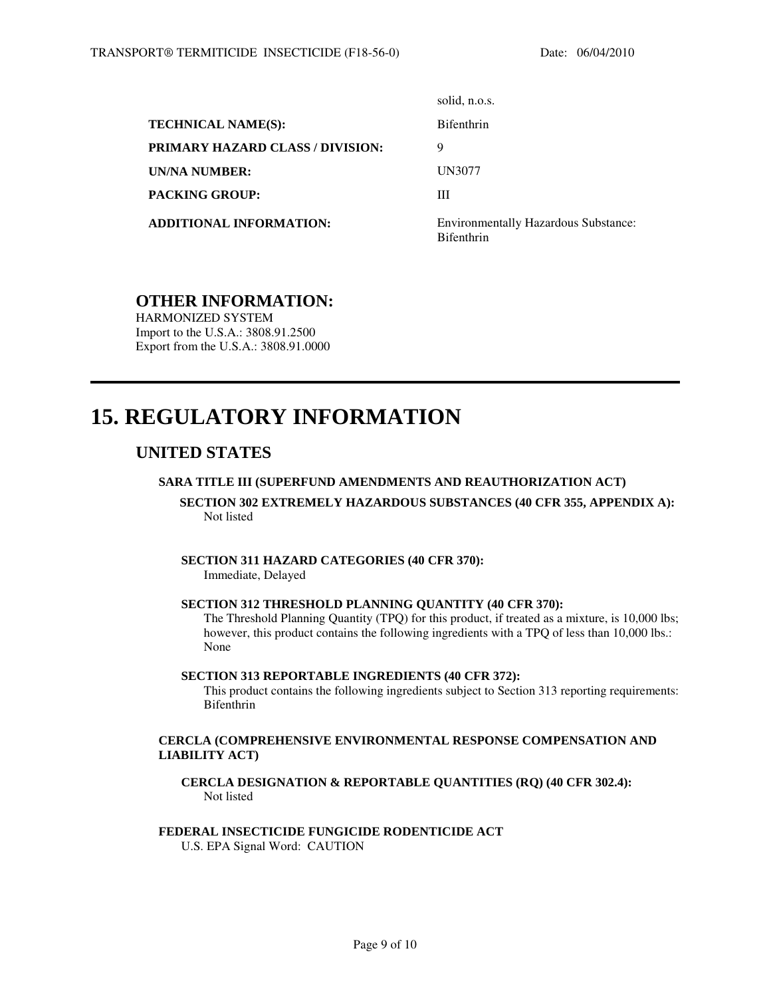|                                         | solid, n.o.s.                                                    |
|-----------------------------------------|------------------------------------------------------------------|
| <b>TECHNICAL NAME(S):</b>               | <b>Bifenthrin</b>                                                |
| <b>PRIMARY HAZARD CLASS / DIVISION:</b> | 9                                                                |
| UN/NA NUMBER:                           | UN3077                                                           |
| <b>PACKING GROUP:</b>                   | Ш                                                                |
| <b>ADDITIONAL INFORMATION:</b>          | <b>Environmentally Hazardous Substance:</b><br><b>Bifenthrin</b> |

#### **OTHER INFORMATION:**

HARMONIZED SYSTEM Import to the U.S.A.: 3808.91.2500 Export from the U.S.A.: 3808.91.0000

## **15. REGULATORY INFORMATION**

#### **UNITED STATES**

l

#### **SARA TITLE III (SUPERFUND AMENDMENTS AND REAUTHORIZATION ACT)**

#### **SECTION 302 EXTREMELY HAZARDOUS SUBSTANCES (40 CFR 355, APPENDIX A):** Not listed

#### **SECTION 311 HAZARD CATEGORIES (40 CFR 370):**

Immediate, Delayed

#### **SECTION 312 THRESHOLD PLANNING QUANTITY (40 CFR 370):**

The Threshold Planning Quantity (TPQ) for this product, if treated as a mixture, is 10,000 lbs; however, this product contains the following ingredients with a TPQ of less than 10,000 lbs.: None

#### **SECTION 313 REPORTABLE INGREDIENTS (40 CFR 372):**

This product contains the following ingredients subject to Section 313 reporting requirements: Bifenthrin

#### **CERCLA (COMPREHENSIVE ENVIRONMENTAL RESPONSE COMPENSATION AND LIABILITY ACT)**

**CERCLA DESIGNATION & REPORTABLE QUANTITIES (RQ) (40 CFR 302.4):** Not listed

#### **FEDERAL INSECTICIDE FUNGICIDE RODENTICIDE ACT**

U.S. EPA Signal Word: CAUTION